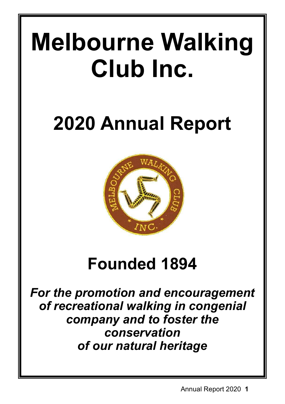# **Melbourne Walking Club Inc.**

# **2020 Annual Report**



# **Founded 1894**

*For the promotion and encouragement of recreational walking in congenial company and to foster the conservation of our natural heritage*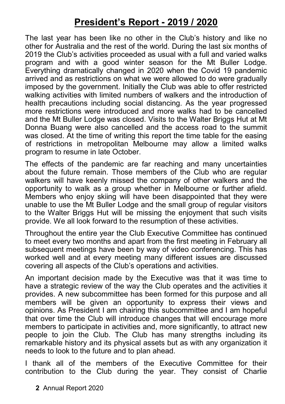# **President's Report - 2019 / 2020**

The last year has been like no other in the Club's history and like no other for Australia and the rest of the world. During the last six months of 2019 the Club's activities proceeded as usual with a full and varied walks program and with a good winter season for the Mt Buller Lodge. Everything dramatically changed in 2020 when the Covid 19 pandemic arrived and as restrictions on what we were allowed to do were gradually imposed by the government. Initially the Club was able to offer restricted walking activities with limited numbers of walkers and the introduction of health precautions including social distancing. As the year progressed more restrictions were introduced and more walks had to be cancelled and the Mt Buller Lodge was closed. Visits to the Walter Briggs Hut at Mt Donna Buang were also cancelled and the access road to the summit was closed. At the time of writing this report the time table for the easing of restrictions in metropolitan Melbourne may allow a limited walks program to resume in late October.

The effects of the pandemic are far reaching and many uncertainties about the future remain. Those members of the Club who are regular walkers will have keenly missed the company of other walkers and the opportunity to walk as a group whether in Melbourne or further afield. Members who enjoy skiing will have been disappointed that they were unable to use the Mt Buller Lodge and the small group of regular visitors to the Walter Briggs Hut will be missing the enjoyment that such visits provide. We all look forward to the resumption of these activities.

Throughout the entire year the Club Executive Committee has continued to meet every two months and apart from the first meeting in February all subsequent meetings have been by way of video conferencing. This has worked well and at every meeting many different issues are discussed covering all aspects of the Club's operations and activities.

An important decision made by the Executive was that it was time to have a strategic review of the way the Club operates and the activities it provides. A new subcommittee has been formed for this purpose and all members will be given an opportunity to express their views and opinions. As President I am chairing this subcommittee and I am hopeful that over time the Club will introduce changes that will encourage more members to participate in activities and, more significantly, to attract new people to join the Club. The Club has many strengths including its remarkable history and its physical assets but as with any organization it needs to look to the future and to plan ahead.

I thank all of the members of the Executive Committee for their contribution to the Club during the year. They consist of Charlie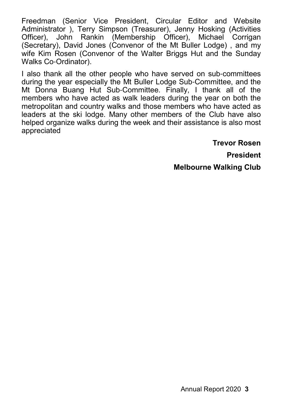Freedman (Senior Vice President, Circular Editor and Website Administrator ), Terry Simpson (Treasurer), Jenny Hosking (Activities Officer), John Rankin (Membership Officer), Michael Corrigan (Secretary), David Jones (Convenor of the Mt Buller Lodge) , and my wife Kim Rosen (Convenor of the Walter Briggs Hut and the Sunday Walks Co-Ordinator).

I also thank all the other people who have served on sub-committees during the year especially the Mt Buller Lodge Sub-Committee, and the Mt Donna Buang Hut Sub-Committee. Finally, I thank all of the members who have acted as walk leaders during the year on both the metropolitan and country walks and those members who have acted as leaders at the ski lodge. Many other members of the Club have also helped organize walks during the week and their assistance is also most appreciated

**Trevor Rosen**

**President**

**Melbourne Walking Club**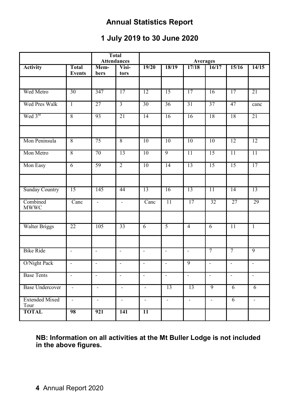# **Annual Statistics Report**

# **1 July 2019 to 30 June 2020**

|                               | <b>Total</b><br><b>Attendances</b> |                          | <b>Averages</b>             |                          |                          |                          |                          |                 |                 |
|-------------------------------|------------------------------------|--------------------------|-----------------------------|--------------------------|--------------------------|--------------------------|--------------------------|-----------------|-----------------|
| <b>Activity</b>               | Total<br><b>Events</b>             | Mem-<br>bers             | Visi-<br>tors               | 19/20                    | 18/19                    | 17/18                    | 16/17                    | 15/16           | 14/15           |
|                               |                                    |                          |                             |                          |                          |                          |                          |                 |                 |
| Wed Metro                     | 30                                 | 347                      | 17                          | 12                       | 15                       | 17                       | 16                       | 17              | 21              |
| Wed Pres Walk                 | $\overline{1}$                     | 27                       | $\overline{3}$              | 30                       | 36                       | 31                       | 37                       | 47              | canc            |
| Wed 3rd                       | 8                                  | 93                       | 21                          | 14                       | 16                       | 16                       | 18                       | 18              | 21              |
| Mon Peninsula                 | $\overline{8}$                     | 75                       | $\overline{8}$              | 10                       | 10                       | 10                       | 10                       | 12              | 12              |
| Mon Metro                     | $\overline{8}$                     | 70                       | 13                          | 10                       | 9                        | $\overline{11}$          | 15                       | $\overline{11}$ | $\overline{11}$ |
| Mon Easy                      | 6                                  | 59                       | $\overline{2}$              | 10                       | 14                       | $\overline{13}$          | $\overline{15}$          | 15              | 17              |
| <b>Sunday Country</b>         | 15                                 | 145                      | 44                          | 13                       | 16                       | $\overline{13}$          | $\overline{11}$          | 14              | 13              |
| Combined<br><b>MWWC</b>       | Canc                               | Ξ                        | τ                           | Canc                     | $\overline{11}$          | 17                       | 32                       | 27              | 29              |
| <b>Walter Briggs</b>          | 22                                 | 105                      | 33                          | 6                        | 5                        | $\overline{4}$           | 6                        | $\overline{11}$ | $\top$          |
| <b>Bike Ride</b>              | $\overline{\phantom{a}}$           | $\overline{\phantom{a}}$ | $\mathcal{L}$               | $\overline{a}$           | $\mathcal{L}$            | $\omega$                 | $\overline{\tau}$        | $\overline{7}$  | 9               |
| O/Night Pack                  | $\sim$                             | $\overline{a}$           | $\mathbf{r}$                | $\mathcal{L}$            | $\mathbf{r}$             | 9                        | $\sim$                   | $\overline{a}$  | $\sim$          |
| <b>Base Tents</b>             | $\overline{\phantom{a}}$           | $\mathbb{L}$             | $\mathcal{L}$               | $\Box$                   | $\omega$                 | $\mathcal{L}$            | $\omega$                 | $\omega$        | $\blacksquare$  |
| <b>Base Undercover</b>        | $\overline{\phantom{a}}$           | $\overline{\phantom{a}}$ | $\mathcal{L}_{\mathcal{A}}$ | $\overline{\phantom{a}}$ | 13                       | 13                       | 9                        | $\overline{6}$  | $\overline{6}$  |
| <b>Extended Mixed</b><br>Tour | $\overline{a}$                     | $\frac{1}{2}$            | L.                          | L.                       | $\overline{\phantom{a}}$ | $\overline{\phantom{a}}$ | $\overline{\phantom{a}}$ | $\overline{6}$  | $\overline{a}$  |
| <b>TOTAL</b>                  | 98                                 | 921                      | 141                         | $\overline{11}$          |                          |                          |                          |                 |                 |

**NB: Information on all activities at the Mt Buller Lodge is not included in the above figures.**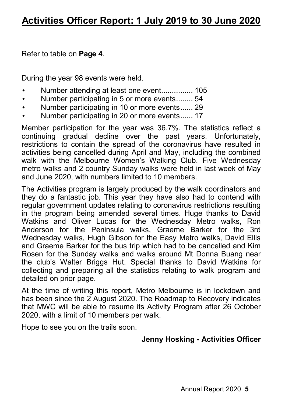Refer to table on **Page 4**.

During the year 98 events were held.

- Number attending at least one event................ 105
- Number participating in 5 or more events........ 54
- Number participating in 10 or more events ...... 29
- Number participating in 20 or more events ...... 17

Member participation for the year was 36.7%. The statistics reflect a continuing gradual decline over the past years. Unfortunately, restrictions to contain the spread of the coronavirus have resulted in activities being cancelled during April and May, including the combined walk with the Melbourne Women's Walking Club. Five Wednesday metro walks and 2 country Sunday walks were held in last week of May and June 2020, with numbers limited to 10 members.

The Activities program is largely produced by the walk coordinators and they do a fantastic job. This year they have also had to contend with regular government updates relating to coronavirus restrictions resulting in the program being amended several times. Huge thanks to David Watkins and Oliver Lucas for the Wednesday Metro walks, Ron Anderson for the Peninsula walks, Graeme Barker for the 3rd Wednesday walks, Hugh Gibson for the Easy Metro walks, David Ellis and Graeme Barker for the bus trip which had to be cancelled and Kim Rosen for the Sunday walks and walks around Mt Donna Buang near the club's Walter Briggs Hut. Special thanks to David Watkins for collecting and preparing all the statistics relating to walk program and detailed on prior page.

At the time of writing this report, Metro Melbourne is in lockdown and has been since the 2 August 2020. The Roadmap to Recovery indicates that MWC will be able to resume its Activity Program after 26 October 2020, with a limit of 10 members per walk.

Hope to see you on the trails soon.

# **Jenny Hosking - Activities Officer**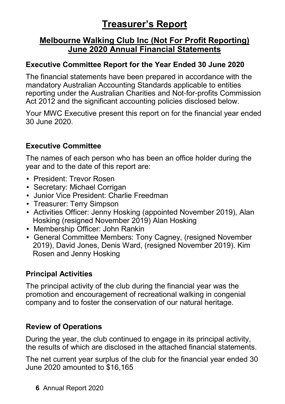# **Treasurer's Report**

# **Melbourne Walking Club Inc (Not For Profit Reporting) June 2020 Annual Financial Statements**

# **Executive Committee Report for the Year Ended 30 June 2020**

The financial statements have been prepared in accordance with the mandatory Australian Accounting Standards applicable to entities reporting under the Australian Charities and Not-for-profits Commission Act 2012 and the significant accounting policies disclosed below.

Your MWC Executive present this report on for the financial year ended 30 June 2020.

# **Executive Committee**

The names of each person who has been an office holder during the year and to the date of this report are:

- President: Trevor Rosen
- Secretary: Michael Corrigan
- Junior Vice President: Charlie Freedman
- Treasurer: Terry Simpson
- Activities Officer: Jenny Hosking (appointed November 2019), Alan Hosking (resigned November 2019) Alan Hosking
- Membership Officer: John Rankin
- General Committee Members: Tony Cagney, (resigned November 2019), David Jones, Denis Ward, (resigned November 2019). Kim Rosen and Jenny Hosking

# **Principal Activities**

The principal activity of the club during the financial year was the promotion and encouragement of recreational walking in congenial company and to foster the conservation of our natural heritage.

# **Review of Operations**

During the year, the club continued to engage in its principal activity, the results of which are disclosed in the attached financial statements.

The net current year surplus of the club for the financial year ended 30 June 2020 amounted to \$16,165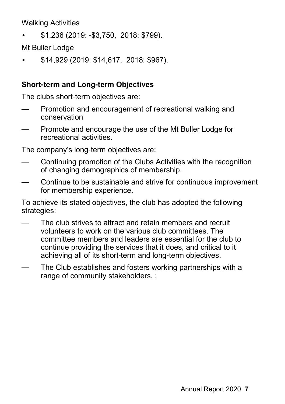Walking Activities

• \$1,236 (2019: -\$3,750, 2018: \$799).

Mt Buller Lodge

• \$14,929 (2019: \$14,617, 2018: \$967).

# **Short-term and Long-term Objectives**

The clubs short-term objectives are:

- Promotion and encouragement of recreational walking and conservation
- Promote and encourage the use of the Mt Buller Lodge for recreational activities.

The company's long-term objectives are:

- Continuing promotion of the Clubs Activities with the recognition of changing demographics of membership.
- Continue to be sustainable and strive for continuous improvement for membership experience.

To achieve its stated objectives, the club has adopted the following strategies:

- The club strives to attract and retain members and recruit volunteers to work on the various club committees. The committee members and leaders are essential for the club to continue providing the services that it does, and critical to it achieving all of its short-term and long-term objectives.
- The Club establishes and fosters working partnerships with a range of community stakeholders. :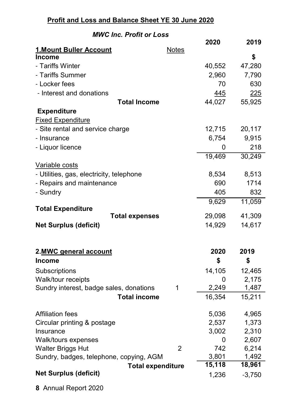# **Profit and Loss and Balance Sheet YE 30 June 2020**

# *MWC Inc. Profit or Loss*

|                                                 |                | 2020                | 2019           |
|-------------------------------------------------|----------------|---------------------|----------------|
| 1. Mount Buller Account<br><b>Income</b>        | <b>Notes</b>   |                     | \$             |
| - Tariffs Winter                                |                |                     | 47,280         |
| - Tariffs Summer                                |                | 40,552<br>2,960     |                |
| - Locker fees                                   |                | 70                  | 7,790<br>630   |
|                                                 |                |                     |                |
| - Interest and donations<br><b>Total Income</b> |                | 445<br>44,027       | 225<br>55,925  |
|                                                 |                |                     |                |
| <b>Expenditure</b><br><b>Fixed Expenditure</b>  |                |                     |                |
| - Site rental and service charge                |                | 12,715              | 20,117         |
| - Insurance                                     |                | 6,754               | 9,915          |
| - Liquor licence                                |                | 0                   | 218            |
|                                                 |                | 19,469              | 30,249         |
| Variable costs                                  |                |                     |                |
| - Utilities, gas, electricity, telephone        |                | 8,534               | 8,513          |
| - Repairs and maintenance                       |                | 690                 | 1714           |
| - Sundry                                        |                | 405                 | 832            |
|                                                 |                | 9,629               | 11,059         |
| <b>Total Expenditure</b>                        |                |                     |                |
| <b>Total expenses</b>                           |                | 29,098              | 41,309         |
| <b>Net Surplus (deficit)</b>                    |                | 14,929              | 14,617         |
|                                                 |                |                     |                |
|                                                 |                |                     |                |
| 2.MWC general account                           |                | 2020                | 2019           |
| <b>Income</b>                                   |                | \$                  | \$             |
| Subscriptions                                   |                | 14,105              | 12,465         |
| Walk/tour receipts                              |                | 0                   | 2,175          |
| Sundry interest, badge sales, donations         | 1              | 2,249               | 1,487          |
| <b>Total income</b>                             |                | 16,354              | 15,211         |
|                                                 |                |                     |                |
| Affiliation fees                                |                | 5,036               | 4,965          |
| Circular printing & postage                     |                | 2,537               | 1,373          |
| Insurance                                       |                | 3,002               | 2,310<br>2,607 |
| Walk/tours expenses<br><b>Walter Briggs Hut</b> | $\overline{2}$ | 0<br>742            | 6,214          |
| Sundry, badges, telephone, copying, AGM         |                | 3,801               | 1,492          |
| <b>Total expenditure</b>                        |                | $\overline{1}5,118$ | 18,961         |
| <b>Net Surplus (deficit)</b>                    |                | 1,236               | $-3,750$       |
|                                                 |                |                     |                |

**8** Annual Report 2020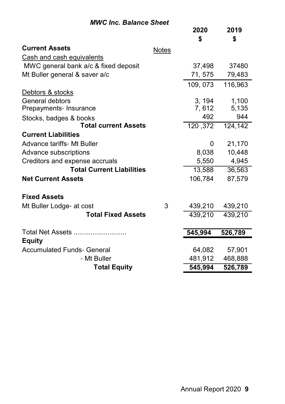# *MWC Inc. Balance Sheet*

|                                      |              | 2020     | 2019    |
|--------------------------------------|--------------|----------|---------|
|                                      |              | \$       | \$      |
| <b>Current Assets</b>                | <b>Notes</b> |          |         |
| Cash and cash equivalents            |              |          |         |
| MWC general bank a/c & fixed deposit |              | 37,498   | 37480   |
| Mt Buller general & saver a/c        |              | 71, 575  | 79,483  |
|                                      |              | 109, 073 | 116,963 |
| Debtors & stocks                     |              |          |         |
| General debtors                      |              | 3, 194   | 1,100   |
| Prepayments- Insurance               |              | 7,612    | 5,135   |
| Stocks, badges & books               |              | 492      | 944     |
| <b>Total current Assets</b>          |              | 120, 372 | 124,142 |
| <b>Current Liabilities</b>           |              |          |         |
| Advance tariffs- Mt Buller           |              | 0        | 21,170  |
| Advance subscriptions                |              | 8,038    | 10,448  |
| Creditors and expense accruals       |              | 5,550    | 4,945   |
| <b>Total Current Liabilities</b>     |              | 13,588   | 36,563  |
| <b>Net Current Assets</b>            |              | 106,784  | 87,579  |
| <b>Fixed Assets</b>                  |              |          |         |
| Mt Buller Lodge- at cost             | 3            | 439,210  | 439,210 |
| <b>Total Fixed Assets</b>            |              | 439,210  | 439,210 |
|                                      |              |          |         |
| Total Net Assets                     |              | 545,994  | 526,789 |
| <b>Equity</b>                        |              |          |         |
| <b>Accumulated Funds- General</b>    |              | 64,082   | 57,901  |
| - Mt Buller                          |              | 481,912  | 468,888 |
| <b>Total Equity</b>                  |              | 545,994  | 526,789 |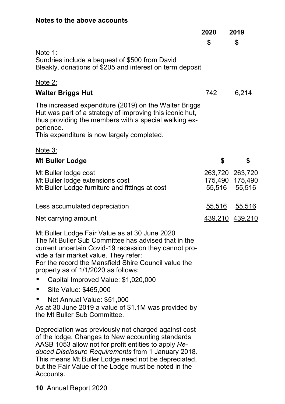#### **Notes to the above accounts**

|                                                                                                                                                                                                                                                                                                                                                                                                                                                                                                                       | 2020          | 2019                                         |
|-----------------------------------------------------------------------------------------------------------------------------------------------------------------------------------------------------------------------------------------------------------------------------------------------------------------------------------------------------------------------------------------------------------------------------------------------------------------------------------------------------------------------|---------------|----------------------------------------------|
|                                                                                                                                                                                                                                                                                                                                                                                                                                                                                                                       | \$            | \$                                           |
| Note 1:<br>Sundries include a bequest of \$500 from David<br>Bleakly, donations of \$205 and interest on term deposit                                                                                                                                                                                                                                                                                                                                                                                                 |               |                                              |
| Note 2:                                                                                                                                                                                                                                                                                                                                                                                                                                                                                                               |               |                                              |
| <b>Walter Briggs Hut</b>                                                                                                                                                                                                                                                                                                                                                                                                                                                                                              | 742           | 6,214                                        |
| The increased expenditure (2019) on the Walter Briggs<br>Hut was part of a strategy of improving this iconic hut,<br>thus providing the members with a special walking ex-<br>perience.<br>This expenditure is now largely completed.                                                                                                                                                                                                                                                                                 |               |                                              |
| Note 3:                                                                                                                                                                                                                                                                                                                                                                                                                                                                                                               |               |                                              |
| <b>Mt Buller Lodge</b>                                                                                                                                                                                                                                                                                                                                                                                                                                                                                                | \$            | \$                                           |
| Mt Buller lodge cost<br>Mt Buller lodge extensions cost<br>Mt Buller Lodge furniture and fittings at cost                                                                                                                                                                                                                                                                                                                                                                                                             | 55,516        | 263,720 263,720<br>175,490 175,490<br>55,516 |
| Less accumulated depreciation                                                                                                                                                                                                                                                                                                                                                                                                                                                                                         | <u>55,516</u> | 55,516                                       |
| Net carrying amount                                                                                                                                                                                                                                                                                                                                                                                                                                                                                                   |               | 439,210 439,210                              |
| Mt Buller Lodge Fair Value as at 30 June 2020<br>The Mt Buller Sub Committee has advised that in the<br>current uncertain Covid-19 recession they cannot pro-<br>vide a fair market value. They refer:<br>For the record the Mansfield Shire Council value the<br>property as of 1/1/2020 as follows:<br>Capital Improved Value: \$1,020,000<br>$\bullet$<br>Site Value: \$465,000<br>$\bullet$<br>Net Annual Value: \$51,000<br>As at 30 June 2019 a value of \$1.1M was provided by<br>the Mt Buller Sub Committee. |               |                                              |

Depreciation was previously not charged against cost of the lodge. Changes to New accounting standards AASB 1053 allow not for profit entities to apply *Reduced Disclosure Requirements* from 1 January 2018. This means Mt Buller Lodge need not be depreciated, but the Fair Value of the Lodge must be noted in the Accounts.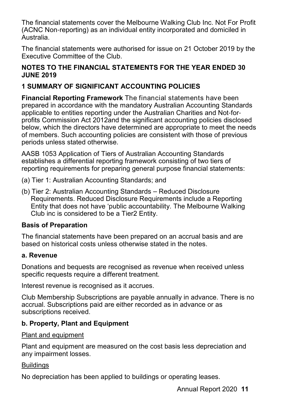The financial statements cover the Melbourne Walking Club Inc. Not For Profit (ACNC Non-reporting) as an individual entity incorporated and domiciled in Australia.

The financial statements were authorised for issue on 21 October 2019 by the Executive Committee of the Club.

#### **NOTES TO THE FINANCIAL STATEMENTS FOR THE YEAR ENDED 30 JUNE 2019**

## **1 SUMMARY OF SIGNIFICANT ACCOUNTING POLICIES**

**Financial Reporting Framework** The financial statements have been prepared in accordance with the mandatory Australian Accounting Standards applicable to entities reporting under the Australian Charities and Not-forprofits Commission Act 2012and the significant accounting policies disclosed below, which the directors have determined are appropriate to meet the needs of members. Such accounting policies are consistent with those of previous periods unless stated otherwise.

AASB 1053 Application of Tiers of Australian Accounting Standards establishes a differential reporting framework consisting of two tiers of reporting requirements for preparing general purpose financial statements:

- (a) Tier 1: Australian Accounting Standards; and
- (b) Tier 2: Australian Accounting Standards Reduced Disclosure Requirements. Reduced Disclosure Requirements include a Reporting Entity that does not have 'public accountability. The Melbourne Walking Club inc is considered to be a Tier2 Entity.

#### **Basis of Preparation**

The financial statements have been prepared on an accrual basis and are based on historical costs unless otherwise stated in the notes.

#### **a. Revenue**

Donations and bequests are recognised as revenue when received unless specific requests require a different treatment.

Interest revenue is recognised as it accrues.

Club Membership Subscriptions are payable annually in advance. There is no accrual. Subscriptions paid are either recorded as in advance or as subscriptions received.

## **b. Property, Plant and Equipment**

Plant and equipment

Plant and equipment are measured on the cost basis less depreciation and any impairment losses.

#### **Buildings**

No depreciation has been applied to buildings or operating leases.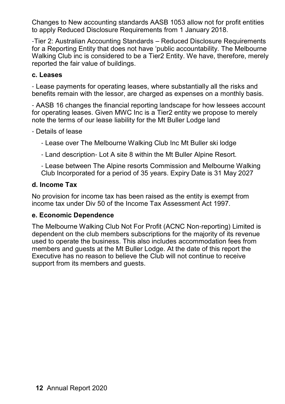Changes to New accounting standards AASB 1053 allow not for profit entities to apply Reduced Disclosure Requirements from 1 January 2018.

-Tier 2: Australian Accounting Standards – Reduced Disclosure Requirements for a Reporting Entity that does not have 'public accountability. The Melbourne Walking Club inc is considered to be a Tier2 Entity. We have, therefore, merely reported the fair value of buildings.

#### **c. Leases**

- Lease payments for operating leases, where substantially all the risks and benefits remain with the lessor, are charged as expenses on a monthly basis.

- AASB 16 changes the financial reporting landscape for how lessees account for operating leases. Given MWC Inc is a Tier2 entity we propose to merely note the terms of our lease liability for the Mt Buller Lodge land

- Details of lease

- Lease over The Melbourne Walking Club Inc Mt Buller ski lodge

- Land description- Lot A site 8 within the Mt Buller Alpine Resort.

- Lease between The Alpine resorts Commission and Melbourne Walking Club Incorporated for a period of 35 years. Expiry Date is 31 May 2027

#### **d. Income Tax**

No provision for income tax has been raised as the entity is exempt from income tax under Div 50 of the Income Tax Assessment Act 1997.

#### **e. Economic Dependence**

The Melbourne Walking Club Not For Profit (ACNC Non-reporting) Limited is dependent on the club members subscriptions for the majority of its revenue used to operate the business. This also includes accommodation fees from members and guests at the Mt Buller Lodge. At the date of this report the Executive has no reason to believe the Club will not continue to receive support from its members and guests.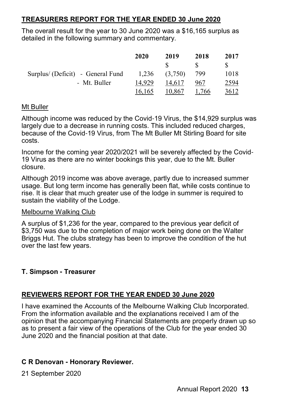### **TREASURERS REPORT FOR THE YEAR ENDED 30 June 2020**

The overall result for the year to 30 June 2020 was a \$16,165 surplus as detailed in the following summary and commentary.

|                                   | 2020   | 2019    | 2018  | 2017 |
|-----------------------------------|--------|---------|-------|------|
|                                   |        | S.      |       |      |
| Surplus/ (Deficit) - General Fund | 1.236  | (3,750) | 799   | 1018 |
| - Mt. Buller                      | 14.929 | 14,617  | 967   | 2594 |
|                                   | 16,165 | 10.867  | 1,766 | 3612 |

#### Mt Buller

Although income was reduced by the Covid-19 Virus, the \$14,929 surplus was largely due to a decrease in running costs. This included reduced charges, because of the Covid-19 Virus, from The Mt Buller Mt Stirling Board for site costs.

Income for the coming year 2020/2021 will be severely affected by the Covid-19 Virus as there are no winter bookings this year, due to the Mt. Buller closure.

Although 2019 income was above average, partly due to increased summer usage. But long term income has generally been flat, while costs continue to rise. It is clear that much greater use of the lodge in summer is required to sustain the viability of the Lodge.

#### Melbourne Walking Club

A surplus of \$1,236 for the year, compared to the previous year deficit of \$3,750 was due to the completion of major work being done on the Walter Briggs Hut. The clubs strategy has been to improve the condition of the hut over the last few years.

#### **T. Simpson - Treasurer**

#### **REVIEWERS REPORT FOR THE YEAR ENDED 30 June 2020**

I have examined the Accounts of the Melbourne Walking Club Incorporated. From the information available and the explanations received I am of the opinion that the accompanying Financial Statements are properly drawn up so as to present a fair view of the operations of the Club for the year ended 30 June 2020 and the financial position at that date.

#### **C R Denovan - Honorary Reviewer.**

21 September 2020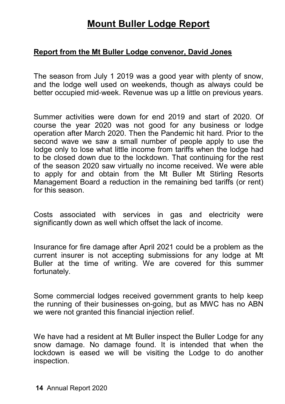# **Mount Buller Lodge Report**

## **Report from the Mt Buller Lodge convenor, David Jones**

The season from July 1 2019 was a good year with plenty of snow, and the lodge well used on weekends, though as always could be better occupied mid-week. Revenue was up a little on previous years.

Summer activities were down for end 2019 and start of 2020. Of course the year 2020 was not good for any business or lodge operation after March 2020. Then the Pandemic hit hard. Prior to the second wave we saw a small number of people apply to use the lodge only to lose what little income from tariffs when the lodge had to be closed down due to the lockdown. That continuing for the rest of the season 2020 saw virtually no income received. We were able to apply for and obtain from the Mt Buller Mt Stirling Resorts Management Board a reduction in the remaining bed tariffs (or rent) for this season.

Costs associated with services in gas and electricity were significantly down as well which offset the lack of income.

Insurance for fire damage after April 2021 could be a problem as the current insurer is not accepting submissions for any lodge at Mt Buller at the time of writing. We are covered for this summer fortunately.

Some commercial lodges received government grants to help keep the running of their businesses on-going, but as MWC has no ABN we were not granted this financial injection relief.

We have had a resident at Mt Buller inspect the Buller Lodge for any snow damage. No damage found. It is intended that when the lockdown is eased we will be visiting the Lodge to do another inspection.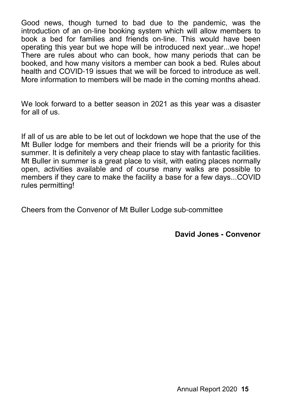Good news, though turned to bad due to the pandemic, was the introduction of an on-line booking system which will allow members to book a bed for families and friends on-line. This would have been operating this year but we hope will be introduced next year...we hope! There are rules about who can book, how many periods that can be booked, and how many visitors a member can book a bed. Rules about health and COVID-19 issues that we will be forced to introduce as well. More information to members will be made in the coming months ahead.

We look forward to a better season in 2021 as this year was a disaster for all of us.

If all of us are able to be let out of lockdown we hope that the use of the Mt Buller lodge for members and their friends will be a priority for this summer. It is definitely a very cheap place to stay with fantastic facilities. Mt Buller in summer is a great place to visit, with eating places normally open, activities available and of course many walks are possible to members if they care to make the facility a base for a few days...COVID rules permitting!

Cheers from the Convenor of Mt Buller Lodge sub-committee

**David Jones - Convenor**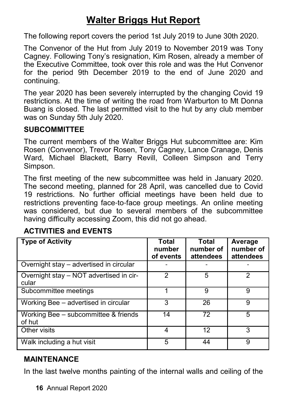# **Walter Briggs Hut Report**

The following report covers the period 1st July 2019 to June 30th 2020.

The Convenor of the Hut from July 2019 to November 2019 was Tony Cagney. Following Tony's resignation, Kim Rosen, already a member of the Executive Committee, took over this role and was the Hut Convenor for the period 9th December 2019 to the end of June 2020 and continuing.

The year 2020 has been severely interrupted by the changing Covid 19 restrictions. At the time of writing the road from Warburton to Mt Donna Buang is closed. The last permitted visit to the hut by any club member was on Sunday 5th July 2020.

## **SUBCOMMITTEE**

The current members of the Walter Briggs Hut subcommittee are: Kim Rosen (Convenor), Trevor Rosen, Tony Cagney, Lance Cranage, Denis Ward, Michael Blackett, Barry Revill, Colleen Simpson and Terry Simpson.

The first meeting of the new subcommittee was held in January 2020. The second meeting, planned for 28 April, was cancelled due to Covid 19 restrictions. No further official meetings have been held due to restrictions preventing face-to-face group meetings. An online meeting was considered, but due to several members of the subcommittee having difficulty accessing Zoom, this did not go ahead.

# **ACTIVITIES and EVENTS**

| <b>Type of Activity</b>                          | <b>Total</b><br>number<br>of events | <b>Total</b><br>number of<br>attendees | Average<br>number of<br>attendees |
|--------------------------------------------------|-------------------------------------|----------------------------------------|-----------------------------------|
| Overnight stay - advertised in circular          |                                     |                                        |                                   |
| Overnight stay - NOT advertised in cir-<br>cular | 2                                   | 5                                      | 2                                 |
| Subcommittee meetings                            |                                     | 9                                      | 9                                 |
| Working Bee - advertised in circular             | 3                                   | 26                                     | 9                                 |
| Working Bee - subcommittee & friends<br>of hut   | 14                                  | 72                                     | 5                                 |
| Other visits                                     | 4                                   | 12                                     | 3                                 |
| Walk including a hut visit                       | 5                                   | 44                                     | 9                                 |

# **MAINTENANCE**

In the last twelve months painting of the internal walls and ceiling of the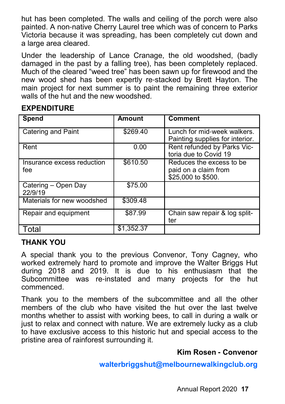hut has been completed. The walls and ceiling of the porch were also painted. A non-native Cherry Laurel tree which was of concern to Parks Victoria because it was spreading, has been completely cut down and a large area cleared.

Under the leadership of Lance Cranage, the old woodshed, (badly damaged in the past by a falling tree), has been completely replaced. Much of the cleared "weed tree" has been sawn up for firewood and the new wood shed has been expertly re-stacked by Brett Hayton. The main project for next summer is to paint the remaining three exterior walls of the hut and the new woodshed.

## **EXPENDITURE**

| Spend                             | Amount     | <b>Comment</b>                                                         |
|-----------------------------------|------------|------------------------------------------------------------------------|
| Catering and Paint                | \$269.40   | Lunch for mid-week walkers.<br>Painting supplies for interior.         |
| Rent                              | 0.00       | Rent refunded by Parks Vic-<br>toria due to Covid 19                   |
| Insurance excess reduction<br>fee | \$610.50   | Reduces the excess to be<br>paid on a claim from<br>\$25,000 to \$500. |
| Catering - Open Day<br>22/9/19    | \$75.00    |                                                                        |
| Materials for new woodshed        | \$309.48   |                                                                        |
| Repair and equipment              | \$87.99    | Chain saw repair & log split-<br>ter                                   |
| Total                             | \$1,352.37 |                                                                        |

## **THANK YOU**

A special thank you to the previous Convenor, Tony Cagney, who worked extremely hard to promote and improve the Walter Briggs Hut during 2018 and 2019. It is due to his enthusiasm that the Subcommittee was re-instated and many projects for the hut commenced.

Thank you to the members of the subcommittee and all the other members of the club who have visited the hut over the last twelve months whether to assist with working bees, to call in during a walk or just to relax and connect with nature. We are extremely lucky as a club to have exclusive access to this historic hut and special access to the pristine area of rainforest surrounding it.

# **Kim Rosen - Convenor**

**walterbriggshut@melbournewalkingclub.org**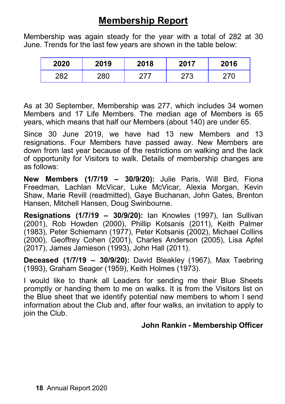# **Membership Report**

Membership was again steady for the year with a total of 282 at 30 June. Trends for the last few years are shown in the table below:

| 2020      | 2019 | 2018 | 2017         | 2016 |
|-----------|------|------|--------------|------|
| າດ $\sim$ | 280  |      | הידרי<br>-10 |      |

As at 30 September, Membership was 277, which includes 34 women Members and 17 Life Members. The median age of Members is 65 years, which means that half our Members (about 140) are under 65.

Since 30 June 2019, we have had 13 new Members and 13 resignations. Four Members have passed away. New Members are down from last year because of the restrictions on walking and the lack of opportunity for Visitors to walk. Details of membership changes are as follows:

**New Members (1/7/19 – 30/9/20):** Julie Paris, Will Bird, Fiona Freedman, Lachlan McVicar, Luke McVicar, Alexia Morgan, Kevin Shaw, Marie Revill (readmitted), Gaye Buchanan, John Gates, Brenton Hansen, Mitchell Hansen, Doug Swinbourne.

**Resignations (1/7/19 – 30/9/20):** Ian Knowles (1997), Ian Sullivan (2001), Rob Howden (2000), Phillip Kotsanis (2011), Keith Palmer (1983), Peter Schiemann (1977), Peter Kotsanis (2002), Michael Collins (2000), Geoffrey Cohen (2001), Charles Anderson (2005), Lisa Apfel (2017), James Jamieson (1993), John Hall (2011).

**Deceased (1/7/19 – 30/9/20):** David Bleakley (1967), Max Taebring (1993), Graham Seager (1959), Keith Holmes (1973).

I would like to thank all Leaders for sending me their Blue Sheets promptly or handing them to me on walks. It is from the Visitors list on the Blue sheet that we identify potential new members to whom I send information about the Club and, after four walks, an invitation to apply to join the Club.

## **John Rankin - Membership Officer**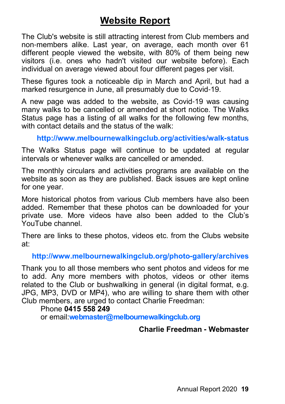# **Website Report**

The Club's website is still attracting interest from Club members and non-members alike. Last year, on average, each month over 61 different people viewed the website, with 80% of them being new visitors (i.e. ones who hadn't visited our website before). Each individual on average viewed about four different pages per visit.

These figures took a noticeable dip in March and April, but had a marked resurgence in June, all presumably due to Covid-19.

A new page was added to the website, as Covid-19 was causing many walks to be cancelled or amended at short notice. The Walks Status page has a listing of all walks for the following few months, with contact details and the status of the walk:

## **http://www.melbournewalkingclub.org/activities/walk-status**

The Walks Status page will continue to be updated at regular intervals or whenever walks are cancelled or amended.

The monthly circulars and activities programs are available on the website as soon as they are published. Back issues are kept online for one year.

More historical photos from various Club members have also been added. Remember that these photos can be downloaded for your private use. More videos have also been added to the Club's YouTube channel.

There are links to these photos, videos etc. from the Clubs website at:

#### **http://www.melbournewalkingclub.org/photo-gallery/archives**

Thank you to all those members who sent photos and videos for me to add. Any more members with photos, videos or other items related to the Club or bushwalking in general (in digital format, e.g. JPG, MP3, DVD or MP4), who are willing to share them with other Club members, are urged to contact Charlie Freedman:

#### Phone **0415 558 249**

or email:**webmaster@melbournewalkingclub.org**

#### **Charlie Freedman - Webmaster**